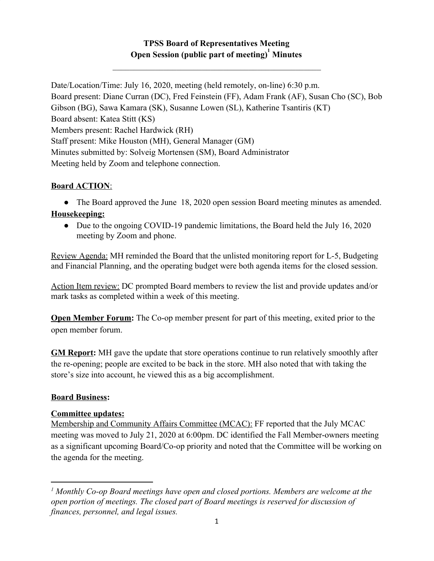# **TPSS Board of Representatives Meeting Open Session (public part of meeting)** Minutes

 $\mathcal{L}_\text{max}$  and  $\mathcal{L}_\text{max}$  and  $\mathcal{L}_\text{max}$  and  $\mathcal{L}_\text{max}$  and  $\mathcal{L}_\text{max}$ 

Date/Location/Time: July 16, 2020, meeting (held remotely, on-line) 6:30 p.m. Board present: Diane Curran (DC), Fred Feinstein (FF), Adam Frank (AF), Susan Cho (SC), Bob Gibson (BG), Sawa Kamara (SK), Susanne Lowen (SL), Katherine Tsantiris (KT) Board absent: Katea Stitt (KS) Members present: Rachel Hardwick (RH) Staff present: Mike Houston (MH), General Manager (GM) Minutes submitted by: Solveig Mortensen (SM), Board Administrator Meeting held by Zoom and telephone connection.

## **Board ACTION**:

• The Board approved the June 18, 2020 open session Board meeting minutes as amended.

### **Housekeeping:**

• Due to the ongoing COVID-19 pandemic limitations, the Board held the July 16, 2020 meeting by Zoom and phone.

Review Agenda: MH reminded the Board that the unlisted monitoring report for L-5, Budgeting and Financial Planning, and the operating budget were both agenda items for the closed session.

Action Item review: DC prompted Board members to review the list and provide updates and/or mark tasks as completed within a week of this meeting.

**Open Member Forum:** The Co-op member present for part of this meeting, exited prior to the open member forum.

**GM Report:** MH gave the update that store operations continue to run relatively smoothly after the re-opening; people are excited to be back in the store. MH also noted that with taking the store's size into account, he viewed this as a big accomplishment.

#### **Board Business:**

## **Committee updates:**

Membership and Community Affairs Committee (MCAC): FF reported that the July MCAC meeting was moved to July 21, 2020 at 6:00pm. DC identified the Fall Member-owners meeting as a significant upcoming Board/Co-op priority and noted that the Committee will be working on the agenda for the meeting.

<sup>&</sup>lt;sup>1</sup> Monthly Co-op Board meetings have open and closed portions. Members are welcome at the *open portion of meetings. The closed part of Board meetings is reserved for discussion of finances, personnel, and legal issues.*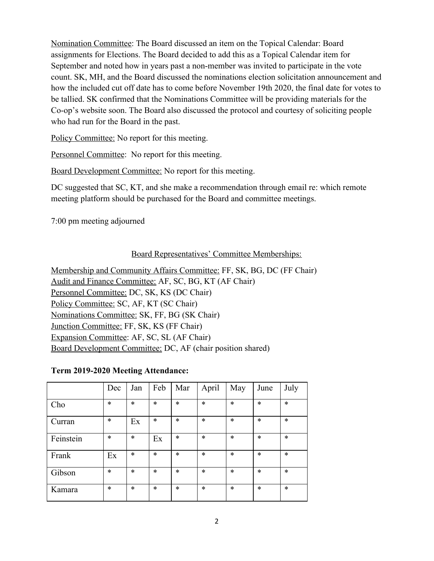Nomination Committee: The Board discussed an item on the Topical Calendar: Board assignments for Elections. The Board decided to add this as a Topical Calendar item for September and noted how in years past a non-member was invited to participate in the vote count. SK, MH, and the Board discussed the nominations election solicitation announcement and how the included cut off date has to come before November 19th 2020, the final date for votes to be tallied. SK confirmed that the Nominations Committee will be providing materials for the Co-op's website soon. The Board also discussed the protocol and courtesy of soliciting people who had run for the Board in the past.

Policy Committee: No report for this meeting.

Personnel Committee: No report for this meeting.

Board Development Committee: No report for this meeting.

DC suggested that SC, KT, and she make a recommendation through email re: which remote meeting platform should be purchased for the Board and committee meetings.

7:00 pm meeting adjourned

### Board Representatives' Committee Memberships:

Membership and Community Affairs Committee: FF, SK, BG, DC (FF Chair) Audit and Finance Committee: AF, SC, BG, KT (AF Chair) Personnel Committee: DC, SK, KS (DC Chair) Policy Committee: SC, AF, KT (SC Chair) Nominations Committee: SK, FF, BG (SK Chair) Junction Committee: FF, SK, KS (FF Chair) Expansion Committee: AF, SC, SL (AF Chair) Board Development Committee: DC, AF (chair position shared)

#### **Term 2019-2020 Meeting Attendance:**

|           | Dec    | Jan    | Feb    | Mar    | April  | May    | June   | July   |
|-----------|--------|--------|--------|--------|--------|--------|--------|--------|
| Cho       | $\ast$ | $\ast$ | $\ast$ | $\ast$ | $\ast$ | $\ast$ | $\ast$ | $\ast$ |
| Curran    | $\ast$ | Ex     | *      | $\ast$ | $\ast$ | $\ast$ | $\ast$ | $\ast$ |
| Feinstein | $\ast$ | $\ast$ | Ex     | *      | $\ast$ | $\ast$ | *      | *      |
| Frank     | Ex     | $\ast$ | *      | $\ast$ | $\ast$ | $\ast$ | $\ast$ | $\ast$ |
| Gibson    | $\ast$ | $\ast$ | $\ast$ | *      | $\ast$ | $\ast$ | $\ast$ | $\ast$ |
| Kamara    | $\ast$ | $\ast$ | *      | *      | $\ast$ | $\ast$ | *      | *      |